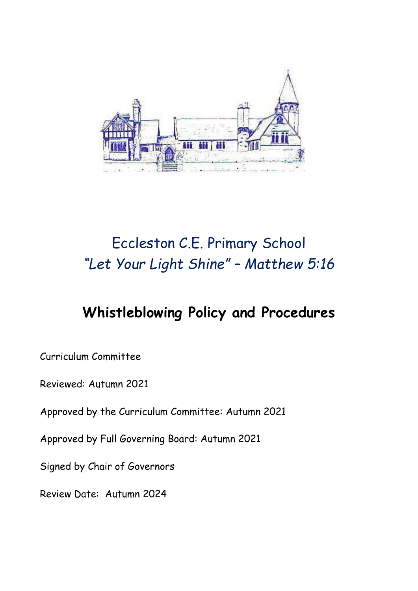

# Eccleston C.E. Primary School *"Let Your Light Shine" – Matthew 5:16*

## **Whistleblowing Policy and Procedures**

Curriculum Committee

Reviewed: Autumn 2021

Approved by the Curriculum Committee: Autumn 2021

Approved by Full Governing Board: Autumn 2021

Signed by Chair of Governors

Review Date: Autumn 2024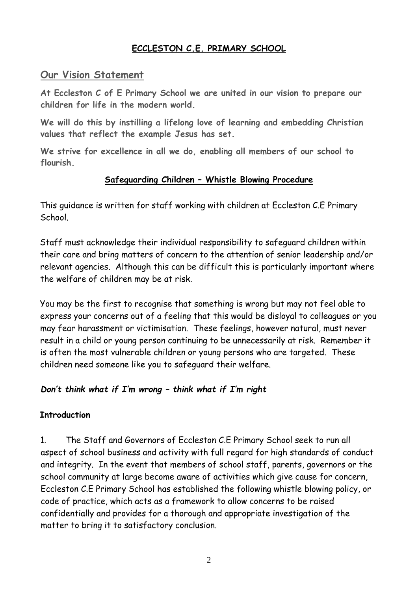### **ECCLESTON C.E. PRIMARY SCHOOL**

#### **Our Vision Statement**

**At Eccleston C of E Primary School we are united in our vision to prepare our children for life in the modern world.**

**We will do this by instilling a lifelong love of learning and embedding Christian values that reflect the example Jesus has set.**

**We strive for excellence in all we do, enabling all members of our school to flourish.**

#### **Safeguarding Children – Whistle Blowing Procedure**

This guidance is written for staff working with children at Eccleston C.E Primary School.

Staff must acknowledge their individual responsibility to safeguard children within their care and bring matters of concern to the attention of senior leadership and/or relevant agencies. Although this can be difficult this is particularly important where the welfare of children may be at risk.

You may be the first to recognise that something is wrong but may not feel able to express your concerns out of a feeling that this would be disloyal to colleagues or you may fear harassment or victimisation. These feelings, however natural, must never result in a child or young person continuing to be unnecessarily at risk. Remember it is often the most vulnerable children or young persons who are targeted. These children need someone like you to safeguard their welfare.

#### *Don't think what if I'm wrong – think what if I'm right*

#### **Introduction**

1. The Staff and Governors of Eccleston C.E Primary School seek to run all aspect of school business and activity with full regard for high standards of conduct and integrity. In the event that members of school staff, parents, governors or the school community at large become aware of activities which give cause for concern, Eccleston C.E Primary School has established the following whistle blowing policy, or code of practice, which acts as a framework to allow concerns to be raised confidentially and provides for a thorough and appropriate investigation of the matter to bring it to satisfactory conclusion.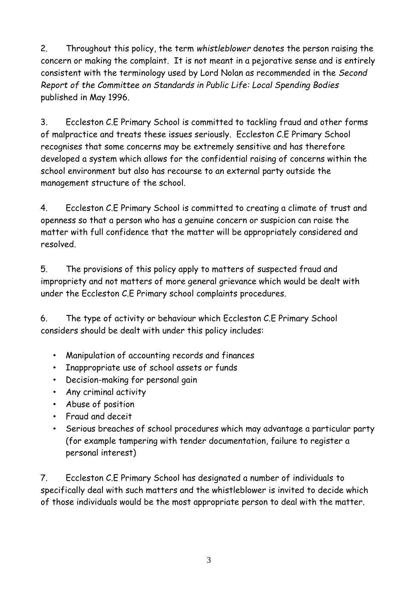2. Throughout this policy, the term *whistleblower* denotes the person raising the concern or making the complaint. It is not meant in a pejorative sense and is entirely consistent with the terminology used by Lord Nolan as recommended in the *Second Report of the Committee on Standards in Public Life: Local Spending Bodies* published in May 1996.

3. Eccleston C.E Primary School is committed to tackling fraud and other forms of malpractice and treats these issues seriously. Eccleston C.E Primary School recognises that some concerns may be extremely sensitive and has therefore developed a system which allows for the confidential raising of concerns within the school environment but also has recourse to an external party outside the management structure of the school.

4. Eccleston C.E Primary School is committed to creating a climate of trust and openness so that a person who has a genuine concern or suspicion can raise the matter with full confidence that the matter will be appropriately considered and resolved.

5. The provisions of this policy apply to matters of suspected fraud and impropriety and not matters of more general grievance which would be dealt with under the Eccleston C.E Primary school complaints procedures.

6. The type of activity or behaviour which Eccleston C.E Primary School considers should be dealt with under this policy includes:

- Manipulation of accounting records and finances
- Inappropriate use of school assets or funds
- Decision-making for personal gain
- Any criminal activity
- Abuse of position
- Fraud and deceit
- Serious breaches of school procedures which may advantage a particular party (for example tampering with tender documentation, failure to register a personal interest)

7. Eccleston C.E Primary School has designated a number of individuals to specifically deal with such matters and the whistleblower is invited to decide which of those individuals would be the most appropriate person to deal with the matter.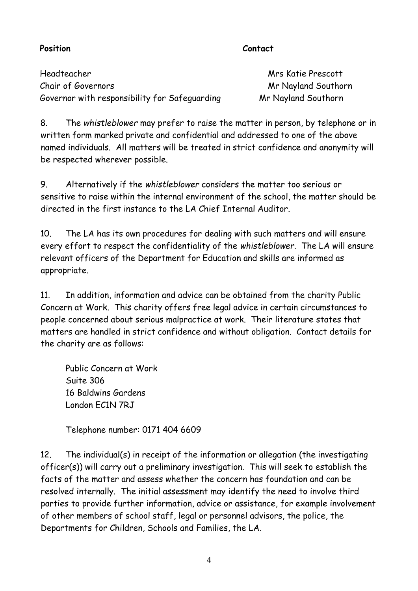#### Position **Contact**

Headteacher Mrs Katie Prescott Chair of Governors Chair Chair Chair Chair Chair Chair Chair Chair Chair Chair Chair Chair Chair Chair Chair Chair Chair Chair Chair Chair Chair Chair Chair Chair Chair Chair Chair Chair Chair Chair Chair Chair Chair Chair Governor with responsibility for Safeguarding Mr Nayland Southorn

8. The *whistleblower* may prefer to raise the matter in person, by telephone or in written form marked private and confidential and addressed to one of the above named individuals. All matters will be treated in strict confidence and anonymity will be respected wherever possible.

9. Alternatively if the *whistleblower* considers the matter too serious or sensitive to raise within the internal environment of the school, the matter should be directed in the first instance to the LA Chief Internal Auditor.

10. The LA has its own procedures for dealing with such matters and will ensure every effort to respect the confidentiality of the *whistleblower*. The LA will ensure relevant officers of the Department for Education and skills are informed as appropriate.

11. In addition, information and advice can be obtained from the charity Public Concern at Work. This charity offers free legal advice in certain circumstances to people concerned about serious malpractice at work. Their literature states that matters are handled in strict confidence and without obligation. Contact details for the charity are as follows:

Public Concern at Work Suite 306 16 Baldwins Gardens London FC1N 7RJ

Telephone number: 0171 404 6609

12. The individual(s) in receipt of the information or allegation (the investigating officer(s)) will carry out a preliminary investigation. This will seek to establish the facts of the matter and assess whether the concern has foundation and can be resolved internally. The initial assessment may identify the need to involve third parties to provide further information, advice or assistance, for example involvement of other members of school staff, legal or personnel advisors, the police, the Departments for Children, Schools and Families, the LA.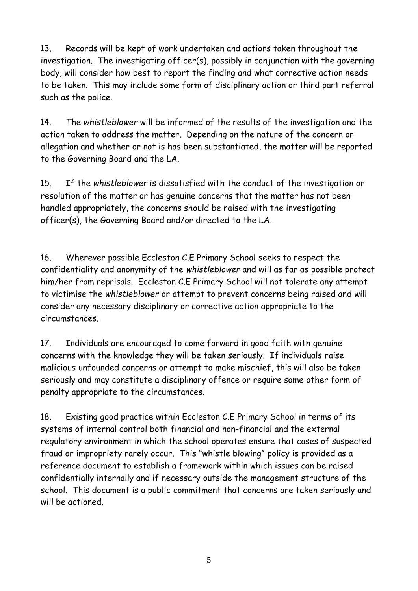13. Records will be kept of work undertaken and actions taken throughout the investigation. The investigating officer(s), possibly in conjunction with the governing body, will consider how best to report the finding and what corrective action needs to be taken. This may include some form of disciplinary action or third part referral such as the police.

14. The *whistleblower* will be informed of the results of the investigation and the action taken to address the matter. Depending on the nature of the concern or allegation and whether or not is has been substantiated, the matter will be reported to the Governing Board and the LA.

15. If the *whistleblower* is dissatisfied with the conduct of the investigation or resolution of the matter or has genuine concerns that the matter has not been handled appropriately, the concerns should be raised with the investigating officer(s), the Governing Board and/or directed to the LA.

16. Wherever possible Eccleston C.E Primary School seeks to respect the confidentiality and anonymity of the *whistleblower* and will as far as possible protect him/her from reprisals. Eccleston C.E Primary School will not tolerate any attempt to victimise the *whistleblower* or attempt to prevent concerns being raised and will consider any necessary disciplinary or corrective action appropriate to the circumstances.

17. Individuals are encouraged to come forward in good faith with genuine concerns with the knowledge they will be taken seriously. If individuals raise malicious unfounded concerns or attempt to make mischief, this will also be taken seriously and may constitute a disciplinary offence or require some other form of penalty appropriate to the circumstances.

18. Existing good practice within Eccleston C.E Primary School in terms of its systems of internal control both financial and non-financial and the external regulatory environment in which the school operates ensure that cases of suspected fraud or impropriety rarely occur. This "whistle blowing" policy is provided as a reference document to establish a framework within which issues can be raised confidentially internally and if necessary outside the management structure of the school. This document is a public commitment that concerns are taken seriously and will be actioned.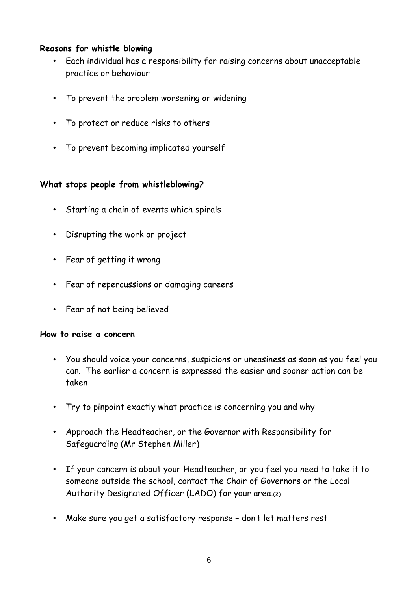#### **Reasons for whistle blowing**

- Each individual has a responsibility for raising concerns about unacceptable practice or behaviour
- To prevent the problem worsening or widening
- To protect or reduce risks to others
- To prevent becoming implicated yourself

#### **What stops people from whistleblowing?**

- Starting a chain of events which spirals
- Disrupting the work or project
- Fear of getting it wrong
- Fear of repercussions or damaging careers
- Fear of not being believed

#### **How to raise a concern**

- You should voice your concerns, suspicions or uneasiness as soon as you feel you can. The earlier a concern is expressed the easier and sooner action can be taken
- Try to pinpoint exactly what practice is concerning you and why
- Approach the Headteacher, or the Governor with Responsibility for Safeguarding (Mr Stephen Miller)
- If your concern is about your Headteacher, or you feel you need to take it to someone outside the school, contact the Chair of Governors or the Local Authority Designated Officer (LADO) for your area.(2)
- Make sure you get a satisfactory response don't let matters rest